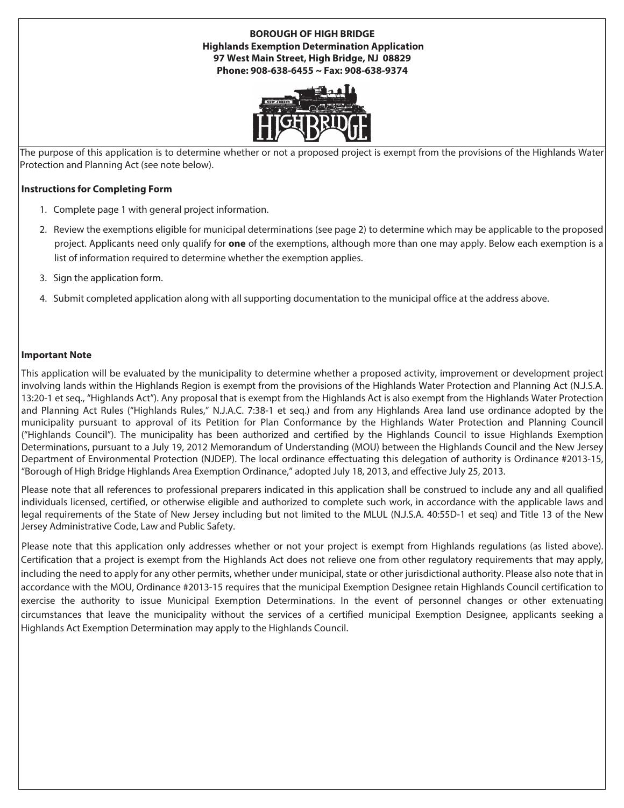## **BOROUGH OF HIGH BRIDGE Highlands Exemption Determination Application 97 West Main Street, High Bridge, NJ 08829 Phone: 908-638-6455 ~ Fax: 908-638-9374**



The purpose of this application is to determine whether or not a proposed project is exempt from the provisions of the Highlands Water Protection and Planning Act (see note below).

## **Instructions for Completing Form**

- 1. Complete page 1 with general project information.
- 2. Review the exemptions eligible for municipal determinations (see page 2) to determine which may be applicable to the proposed project. Applicants need only qualify for **one** of the exemptions, although more than one may apply. Below each exemption is a list of information required to determine whether the exemption applies.
- 3. Sign the application form.
- 4. Submit completed application along with all supporting documentation to the municipal office at the address above.

## **Important Note**

This application will be evaluated by the municipality to determine whether a proposed activity, improvement or development project involving lands within the Highlands Region is exempt from the provisions of the Highlands Water Protection and Planning Act (N.J.S.A. 13:20-1 et seq., "Highlands Act"). Any proposal that is exempt from the Highlands Act is also exempt from the Highlands Water Protection and Planning Act Rules ("Highlands Rules," N.J.A.C. 7:38-1 et seq.) and from any Highlands Area land use ordinance adopted by the municipality pursuant to approval of its Petition for Plan Conformance by the Highlands Water Protection and Planning Council ("Highlands Council"). The municipality has been authorized and certified by the Highlands Council to issue Highlands Exemption Determinations, pursuant to a July 19, 2012 Memorandum of Understanding (MOU) between the Highlands Council and the New Jersey Department of Environmental Protection (NJDEP). The local ordinance effectuating this delegation of authority is Ordinance #2013-15, "Borough of High Bridge Highlands Area Exemption Ordinance," adopted July 18, 2013, and effective July 25, 2013.

Please note that all references to professional preparers indicated in this application shall be construed to include any and all qualified individuals licensed, certified, or otherwise eligible and authorized to complete such work, in accordance with the applicable laws and legal requirements of the State of New Jersey including but not limited to the MLUL (N.J.S.A. 40:55D-1 et seq) and Title 13 of the New Jersey Administrative Code, Law and Public Safety.

Please note that this application only addresses whether or not your project is exempt from Highlands regulations (as listed above). Certification that a project is exempt from the Highlands Act does not relieve one from other regulatory requirements that may apply, including the need to apply for any other permits, whether under municipal, state or other jurisdictional authority. Please also note that in accordance with the MOU, Ordinance #2013-15 requires that the municipal Exemption Designee retain Highlands Council certification to exercise the authority to issue Municipal Exemption Determinations. In the event of personnel changes or other extenuating circumstances that leave the municipality without the services of a certified municipal Exemption Designee, applicants seeking a Highlands Act Exemption Determination may apply to the Highlands Council.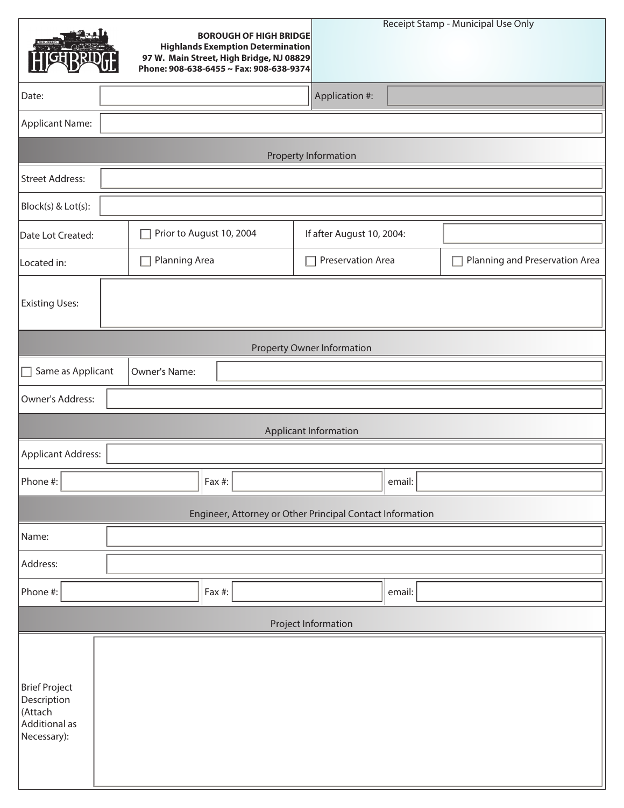|                                                                                | <b>BOROUGH OF HIGH BRIDGE</b><br><b>Highlands Exemption Determination</b><br>97 W. Main Street, High Bridge, NJ 08829<br>Phone: 908-638-6455 ~ Fax: 908-638-9374 |                           | Receipt Stamp - Municipal Use Only |  |  |  |  |  |  |  |
|--------------------------------------------------------------------------------|------------------------------------------------------------------------------------------------------------------------------------------------------------------|---------------------------|------------------------------------|--|--|--|--|--|--|--|
| Date:                                                                          |                                                                                                                                                                  | Application #:            |                                    |  |  |  |  |  |  |  |
| <b>Applicant Name:</b>                                                         |                                                                                                                                                                  |                           |                                    |  |  |  |  |  |  |  |
| Property Information                                                           |                                                                                                                                                                  |                           |                                    |  |  |  |  |  |  |  |
| <b>Street Address:</b>                                                         |                                                                                                                                                                  |                           |                                    |  |  |  |  |  |  |  |
| Block(s) & Lot(s):                                                             |                                                                                                                                                                  |                           |                                    |  |  |  |  |  |  |  |
| Date Lot Created:                                                              | Prior to August 10, 2004                                                                                                                                         | If after August 10, 2004: |                                    |  |  |  |  |  |  |  |
| Located in:                                                                    | Planning Area                                                                                                                                                    | Preservation Area         | Planning and Preservation Area     |  |  |  |  |  |  |  |
| <b>Existing Uses:</b>                                                          |                                                                                                                                                                  |                           |                                    |  |  |  |  |  |  |  |
| <b>Property Owner Information</b>                                              |                                                                                                                                                                  |                           |                                    |  |  |  |  |  |  |  |
| Same as Applicant<br>П                                                         | <b>Owner's Name:</b>                                                                                                                                             |                           |                                    |  |  |  |  |  |  |  |
| Owner's Address:                                                               |                                                                                                                                                                  |                           |                                    |  |  |  |  |  |  |  |
|                                                                                |                                                                                                                                                                  | Applicant Information     |                                    |  |  |  |  |  |  |  |
| <b>Applicant Address:</b>                                                      |                                                                                                                                                                  |                           |                                    |  |  |  |  |  |  |  |
| Phone #:                                                                       | Fax #:                                                                                                                                                           | email:                    |                                    |  |  |  |  |  |  |  |
| Engineer, Attorney or Other Principal Contact Information                      |                                                                                                                                                                  |                           |                                    |  |  |  |  |  |  |  |
| Name:                                                                          |                                                                                                                                                                  |                           |                                    |  |  |  |  |  |  |  |
| Address:                                                                       |                                                                                                                                                                  |                           |                                    |  |  |  |  |  |  |  |
| Phone #:                                                                       | Fax #:                                                                                                                                                           | email:                    |                                    |  |  |  |  |  |  |  |
| Project Information                                                            |                                                                                                                                                                  |                           |                                    |  |  |  |  |  |  |  |
| <b>Brief Project</b><br>Description<br>(Attach<br>Additional as<br>Necessary): |                                                                                                                                                                  |                           |                                    |  |  |  |  |  |  |  |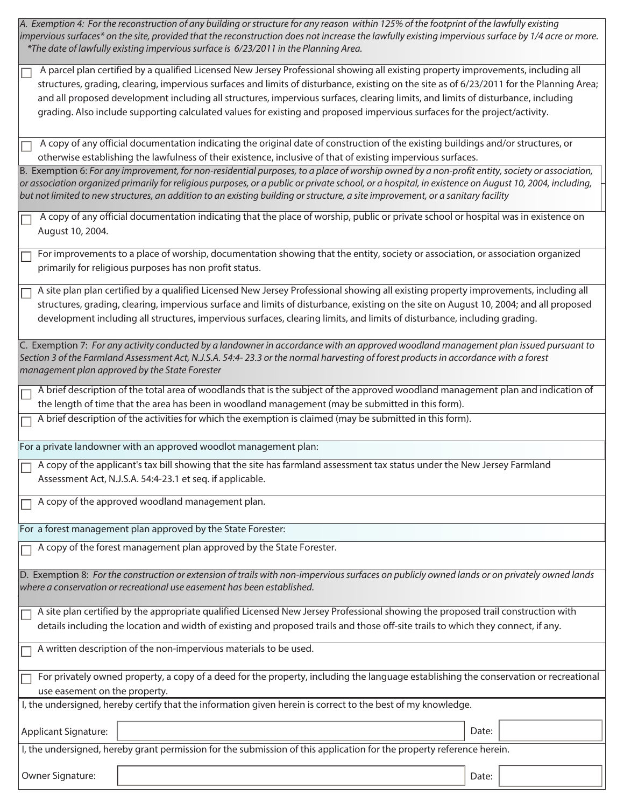A. Exemption 4: For the reconstruction of any building or structure for any reason within 125% of the footprint of the lawfully existing impervious surfaces\* on the site, provided that the reconstruction does not increase the lawfully existing impervious surface by 1/4 acre or more. \*The date of lawfully existing impervious surface is 6/23/2011 in the Planning Area.

 A parcel plan certified by a qualified Licensed New Jersey Professional showing all existing property improvements, including all structures, grading, clearing, impervious surfaces and limits of disturbance, existing on the site as of 6/23/2011 for the Planning Area; and all proposed development including all structures, impervious surfaces, clearing limits, and limits of disturbance, including grading. Also include supporting calculated values for existing and proposed impervious surfaces for the project/activity.

 A copy of any official documentation indicating the original date of construction of the existing buildings and/or structures, or otherwise establishing the lawfulness of their existence, inclusive of that of existing impervious surfaces.

B. Exemption 6: For any improvement, for non-residential purposes, to a place of worship owned by a non-profit entity, society or association, or association organized primarily for religious purposes, or a public or private school, or a hospital, in existence on August 10, 2004, including, but not limited to new structures, an addition to an existing building or structure, a site improvement, or a sanitary facility

 A copy of any official documentation indicating that the place of worship, public or private school or hospital was in existence on August 10, 2004.

For improvements to a place of worship, documentation showing that the entity, society or association, or association organized primarily for religious purposes has non profit status.

A site plan plan certified by a qualified Licensed New Jersey Professional showing all existing property improvements, including all structures, grading, clearing, impervious surface and limits of disturbance, existing on the site on August 10, 2004; and all proposed development including all structures, impervious surfaces, clearing limits, and limits of disturbance, including grading.

C. Exemption 7: For any activity conducted by a landowner in accordance with an approved woodland management plan issued pursuant to Section 3 of the Farmland Assessment Act, N.J.S.A. 54:4- 23.3 or the normal harvesting of forest products in accordance with a forest management plan approved by the State Forester

A brief description of the total area of woodlands that is the subject of the approved woodland management plan and indication of the length of time that the area has been in woodland management (may be submitted in this form).

A brief description of the activities for which the exemption is claimed (may be submitted in this form).

For a private landowner with an approved woodlot management plan:

A copy of the applicant's tax bill showing that the site has farmland assessment tax status under the New Jersey Farmland Assessment Act, N.J.S.A. 54:4-23.1 et seq. if applicable.

A copy of the approved woodland management plan.

For a forest management plan approved by the State Forester:

A copy of the forest management plan approved by the State Forester.

D. Exemption 8: For the construction or extension of trails with non-impervious surfaces on publicly owned lands or on privately owned lands where a conservation or recreational use easement has been established.

A site plan certified by the appropriate qualified Licensed New Jersey Professional showing the proposed trail construction with details including the location and width of existing and proposed trails and those off-site trails to which they connect, if any.

A written description of the non-impervious materials to be used.

For privately owned property, a copy of a deed for the property, including the language establishing the conservation or recreational use easement on the property.

I, the undersigned, hereby certify that the information given herein is correct to the best of my knowledge.

Applicant Signature:  $\begin{array}{|c|c|c|c|c|c|}\n\hline\n\end{array}$ 

I, the undersigned, hereby grant permission for the submission of this application for the property reference herein.

Owner Signature:  $\qquad \qquad$  Date: